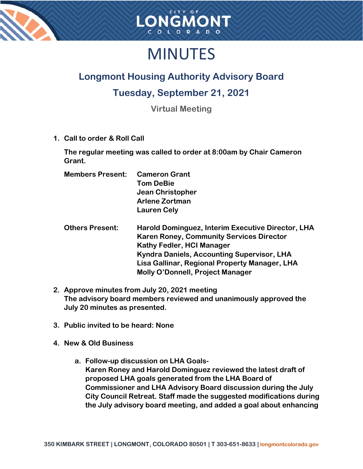



# MINUTES

## **Longmont Housing Authority Advisory Board**

### **Tuesday, September 21, 2021**

**Virtual Meeting**

**1. Call to order & Roll Call**

**The regular meeting was called to order at 8:00am by Chair Cameron Grant.**

| <b>Members Present:</b> | <b>Cameron Grant</b>  |
|-------------------------|-----------------------|
|                         | <b>Tom DeBie</b>      |
|                         | Jean Christopher      |
|                         | <b>Arlene Zortman</b> |
|                         | <b>Lauren Cely</b>    |

| <b>Others Present:</b> | Harold Dominguez, Interim Executive Director, LHA |
|------------------------|---------------------------------------------------|
|                        | <b>Karen Roney, Community Services Director</b>   |
|                        | <b>Kathy Fedler, HCI Manager</b>                  |
|                        | Kyndra Daniels, Accounting Supervisor, LHA        |
|                        | Lisa Gallinar, Regional Property Manager, LHA     |
|                        | Molly O'Donnell, Project Manager                  |

- **2. Approve minutes from July 20, 2021 meeting The advisory board members reviewed and unanimously approved the July 20 minutes as presented.**
- **3. Public invited to be heard: None**
- **4. New & Old Business**
	- **a. Follow-up discussion on LHA Goals-Karen Roney and Harold Dominguez reviewed the latest draft of proposed LHA goals generated from the LHA Board of Commissioner and LHA Advisory Board discussion during the July City Council Retreat. Staff made the suggested modifications during the July advisory board meeting, and added a goal about enhancing**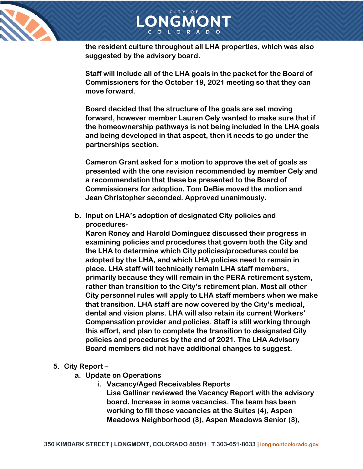



LONGMONT

**Staff will include all of the LHA goals in the packet for the Board of Commissioners for the October 19, 2021 meeting so that they can move forward.** 

**Board decided that the structure of the goals are set moving forward, however member Lauren Cely wanted to make sure that if the homeownership pathways is not being included in the LHA goals and being developed in that aspect, then it needs to go under the partnerships section.** 

**Cameron Grant asked for a motion to approve the set of goals as presented with the one revision recommended by member Cely and a recommendation that these be presented to the Board of Commissioners for adoption. Tom DeBie moved the motion and Jean Christopher seconded. Approved unanimously.**

**b. Input on LHA's adoption of designated City policies and procedures-**

**Karen Roney and Harold Dominguez discussed their progress in examining policies and procedures that govern both the City and the LHA to determine which City policies/procedures could be adopted by the LHA, and which LHA policies need to remain in place. LHA staff will technically remain LHA staff members, primarily because they will remain in the PERA retirement system, rather than transition to the City's retirement plan. Most all other City personnel rules will apply to LHA staff members when we make that transition. LHA staff are now covered by the City's medical, dental and vision plans. LHA will also retain its current Workers' Compensation provider and policies. Staff is still working through this effort, and plan to complete the transition to designated City policies and procedures by the end of 2021. The LHA Advisory Board members did not have additional changes to suggest.** 

#### **5. City Report –**

- **a. Update on Operations**
	- **i. Vacancy/Aged Receivables Reports Lisa Gallinar reviewed the Vacancy Report with the advisory board. Increase in some vacancies. The team has been working to fill those vacancies at the Suites (4), Aspen Meadows Neighborhood (3), Aspen Meadows Senior (3),**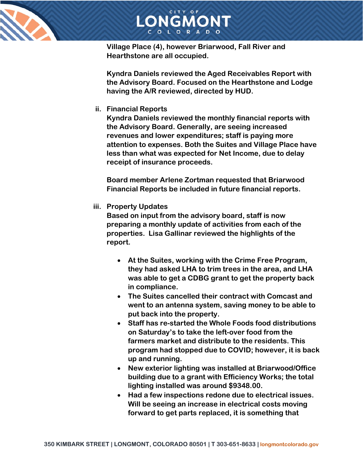



**Village Place (4), however Briarwood, Fall River and Hearthstone are all occupied.** 

**Kyndra Daniels reviewed the Aged Receivables Report with the Advisory Board. Focused on the Hearthstone and Lodge having the A/R reviewed, directed by HUD.**

#### **ii. Financial Reports**

**Kyndra Daniels reviewed the monthly financial reports with the Advisory Board. Generally, are seeing increased revenues and lower expenditures; staff is paying more attention to expenses. Both the Suites and Village Place have less than what was expected for Net Income, due to delay receipt of insurance proceeds.** 

**Board member Arlene Zortman requested that Briarwood Financial Reports be included in future financial reports.** 

#### **iii. Property Updates**

**Based on input from the advisory board, staff is now preparing a monthly update of activities from each of the properties. Lisa Gallinar reviewed the highlights of the report.**

- **At the Suites, working with the Crime Free Program, they had asked LHA to trim trees in the area, and LHA was able to get a CDBG grant to get the property back in compliance.**
- **The Suites cancelled their contract with Comcast and went to an antenna system, saving money to be able to put back into the property.**
- **Staff has re-started the Whole Foods food distributions on Saturday's to take the left-over food from the farmers market and distribute to the residents. This program had stopped due to COVID; however, it is back up and running.**
- **New exterior lighting was installed at Briarwood/Office building due to a grant with Efficiency Works; the total lighting installed was around \$9348.00.**
- **Had a few inspections redone due to electrical issues. Will be seeing an increase in electrical costs moving forward to get parts replaced, it is something that**